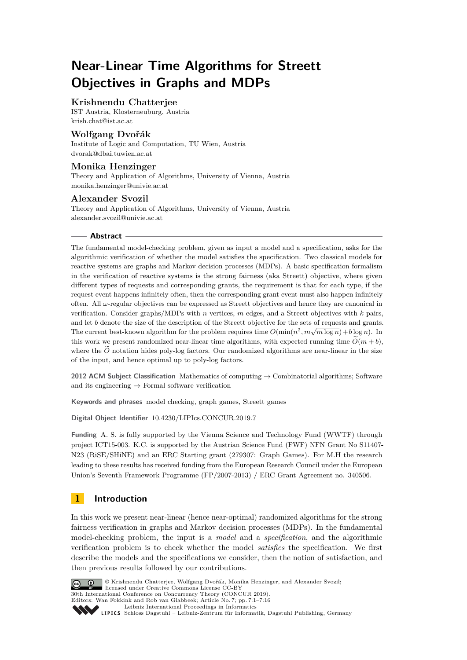# **Near-Linear Time Algorithms for Streett Objectives in Graphs and MDPs**

## **Krishnendu Chatterjee**

IST Austria, Klosterneuburg, Austria [krish.chat@ist.ac.at](mailto:krish.chat@ist.ac.at)

## **Wolfgang Dvořák**

Institute of Logic and Computation, TU Wien, Austria [dvorak@dbai.tuwien.ac.at](mailto:dvorak@dbai.tuwien.ac.at)

## **Monika Henzinger**

Theory and Application of Algorithms, University of Vienna, Austria [monika.henzinger@univie.ac.at](mailto:monika.henzinger@univie.ac.at)

## **Alexander Svozil**

Theory and Application of Algorithms, University of Vienna, Austria [alexander.svozil@univie.ac.at](mailto:alexander.svozil@univie.ac.at)

## **Abstract**

The fundamental model-checking problem, given as input a model and a specification, asks for the algorithmic verification of whether the model satisfies the specification. Two classical models for reactive systems are graphs and Markov decision processes (MDPs). A basic specification formalism in the verification of reactive systems is the strong fairness (aka Streett) objective, where given different types of requests and corresponding grants, the requirement is that for each type, if the request event happens infinitely often, then the corresponding grant event must also happen infinitely often. All *ω*-regular objectives can be expressed as Streett objectives and hence they are canonical in verification. Consider graphs/MDPs with *n* vertices, *m* edges, and a Streett objectives with *k* pairs, and let *b* denote the size of the description of the Streett objective for the sets of requests and grants. The current best-known algorithm for the problem requires time  $O(\min(n^2, m\sqrt{m \log n}) + b \log n)$ . In this work we present randomized near-linear time algorithms, with expected running time  $\tilde{O}(m + b)$ , where the  $\tilde{O}$  notation hides poly-log factors. Our randomized algorithms are near-linear in the size of the input, and hence optimal up to poly-log factors.

**2012 ACM Subject Classification** Mathematics of computing → Combinatorial algorithms; Software and its engineering  $\rightarrow$  Formal software verification

**Keywords and phrases** model checking, graph games, Streett games

**Digital Object Identifier** [10.4230/LIPIcs.CONCUR.2019.7](https://doi.org/10.4230/LIPIcs.CONCUR.2019.7)

**Funding** A. S. is fully supported by the Vienna Science and Technology Fund (WWTF) through project ICT15-003. K.C. is supported by the Austrian Science Fund (FWF) NFN Grant No S11407- N23 (RiSE/SHiNE) and an ERC Starting grant (279307: Graph Games). For M.H the research leading to these results has received funding from the European Research Council under the European Union's Seventh Framework Programme (FP/2007-2013) / ERC Grant Agreement no. 340506.

## **1 Introduction**

In this work we present near-linear (hence near-optimal) randomized algorithms for the strong fairness verification in graphs and Markov decision processes (MDPs). In the fundamental model-checking problem, the input is a *model* and a *specification*, and the algorithmic verification problem is to check whether the model *satisfies* the specification. We first describe the models and the specifications we consider, then the notion of satisfaction, and then previous results followed by our contributions.



© Krishnendu Chatterjee, Wolfgang Dvořák, Monika Henzinger, and Alexander Svozil; licensed under Creative Commons License CC-BY 30th International Conference on Concurrency Theory (CONCUR 2019).

Editors: Wan Fokkink and Rob van Glabbeek; Article No. 7; pp. 7:1–7[:16](#page-15-0)

[Leibniz International Proceedings in Informatics](https://www.dagstuhl.de/lipics/) Leibniz international ruceedings in miorimetric<br>
LIPICS [Schloss Dagstuhl – Leibniz-Zentrum für Informatik, Dagstuhl Publishing, Germany](https://www.dagstuhl.de)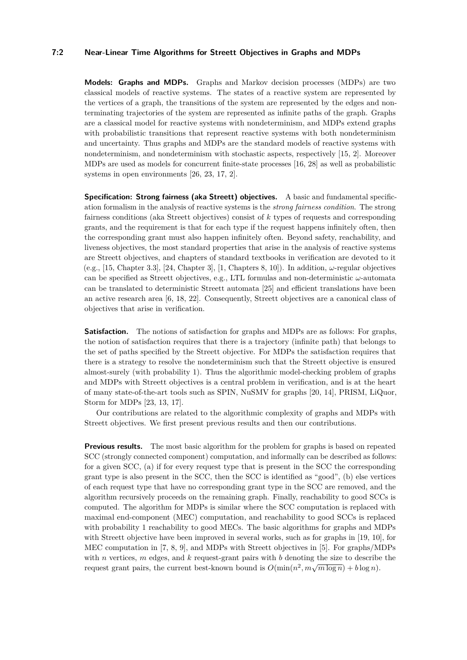### **7:2 Near-Linear Time Algorithms for Streett Objectives in Graphs and MDPs**

**Models: Graphs and MDPs.** Graphs and Markov decision processes (MDPs) are two classical models of reactive systems. The states of a reactive system are represented by the vertices of a graph, the transitions of the system are represented by the edges and nonterminating trajectories of the system are represented as infinite paths of the graph. Graphs are a classical model for reactive systems with nondeterminism, and MDPs extend graphs with probabilistic transitions that represent reactive systems with both nondeterminism and uncertainty. Thus graphs and MDPs are the standard models of reactive systems with nondeterminism, and nondeterminism with stochastic aspects, respectively [\[15,](#page-14-0) [2\]](#page-14-1). Moreover MDPs are used as models for concurrent finite-state processes [\[16,](#page-14-2) [28\]](#page-15-1) as well as probabilistic systems in open environments [\[26,](#page-15-2) [23,](#page-15-3) [17,](#page-14-3) [2\]](#page-14-1).

**Specification: Strong fairness (aka Streett) objectives.** A basic and fundamental specification formalism in the analysis of reactive systems is the *strong fairness condition*. The strong fairness conditions (aka Streett objectives) consist of *k* types of requests and corresponding grants, and the requirement is that for each type if the request happens infinitely often, then the corresponding grant must also happen infinitely often. Beyond safety, reachability, and liveness objectives, the most standard properties that arise in the analysis of reactive systems are Streett objectives, and chapters of standard textbooks in verification are devoted to it (e.g., [\[15,](#page-14-0) Chapter 3.3], [\[24,](#page-15-4) Chapter 3], [\[1,](#page-14-4) Chapters 8, 10]). In addition, *ω*-regular objectives can be specified as Streett objectives, e.g., LTL formulas and non-deterministic *ω*-automata can be translated to deterministic Streett automata [\[25\]](#page-15-5) and efficient translations have been an active research area [\[6,](#page-14-5) [18,](#page-14-6) [22\]](#page-15-6). Consequently, Streett objectives are a canonical class of objectives that arise in verification.

**Satisfaction.** The notions of satisfaction for graphs and MDPs are as follows: For graphs, the notion of satisfaction requires that there is a trajectory (infinite path) that belongs to the set of paths specified by the Streett objective. For MDPs the satisfaction requires that there is a strategy to resolve the nondeterminism such that the Streett objective is ensured almost-surely (with probability 1). Thus the algorithmic model-checking problem of graphs and MDPs with Streett objectives is a central problem in verification, and is at the heart of many state-of-the-art tools such as SPIN, NuSMV for graphs [\[20,](#page-14-7) [14\]](#page-14-8), PRISM, LiQuor, Storm for MDPs [\[23,](#page-15-3) [13,](#page-14-9) [17\]](#page-14-3).

Our contributions are related to the algorithmic complexity of graphs and MDPs with Streett objectives. We first present previous results and then our contributions.

**Previous results.** The most basic algorithm for the problem for graphs is based on repeated SCC (strongly connected component) computation, and informally can be described as follows: for a given SCC, (a) if for every request type that is present in the SCC the corresponding grant type is also present in the SCC, then the SCC is identified as "good", (b) else vertices of each request type that have no corresponding grant type in the SCC are removed, and the algorithm recursively proceeds on the remaining graph. Finally, reachability to good SCCs is computed. The algorithm for MDPs is similar where the SCC computation is replaced with maximal end-component (MEC) computation, and reachability to good SCCs is replaced with probability 1 reachability to good MECs. The basic algorithms for graphs and MDPs with Streett objective have been improved in several works, such as for graphs in [\[19,](#page-14-10) [10\]](#page-14-11), for MEC computation in [\[7,](#page-14-12) [8,](#page-14-13) [9\]](#page-14-14), and MDPs with Streett objectives in [\[5\]](#page-14-15). For graphs/MDPs with *n* vertices, *m* edges, and *k* request-grant pairs with *b* denoting the size to describe the request grant pairs, the current best-known bound is  $O(\min(n^2, m\sqrt{m \log n}) + b \log n)$ .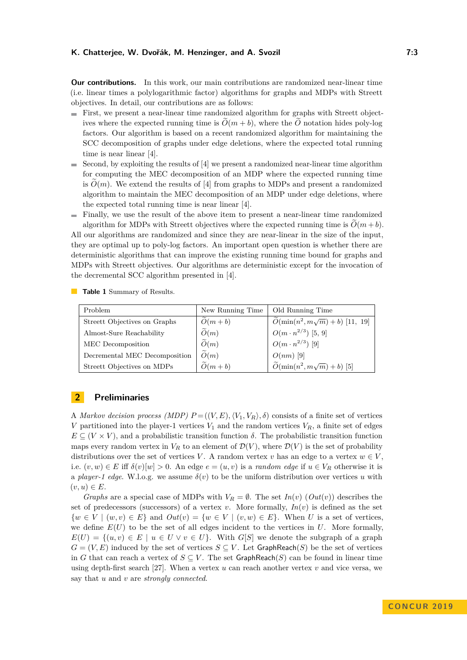#### **K. Chatterjee, W. Dvořák, M. Henzinger, and A. Svozil 7:3**

**Our contributions.** In this work, our main contributions are randomized near-linear time (i.e. linear times a polylogarithmic factor) algorithms for graphs and MDPs with Streett objectives. In detail, our contributions are as follows:

- First, we present a near-linear time randomized algorithm for graphs with Streett objectives where the expected running time is  $O(m + b)$ , where the *O* notation hides poly-log factors. Our algorithm is based on a recent randomized algorithm for maintaining the SCC decomposition of graphs under edge deletions, where the expected total running time is near linear [\[4\]](#page-14-16).
- $\blacksquare$  Second, by exploiting the results of [\[4\]](#page-14-16) we present a randomized near-linear time algorithm for computing the MEC decomposition of an MDP where the expected running time is  $\tilde{O}(m)$ . We extend the results of [\[4\]](#page-14-16) from graphs to MDPs and present a randomized algorithm to maintain the MEC decomposition of an MDP under edge deletions, where the expected total running time is near linear [\[4\]](#page-14-16).
- Finally, we use the result of the above item to present a near-linear time randomized algorithm for MDPs with Streett objectives where the expected running time is  $O(m + b)$ .

All our algorithms are randomized and since they are near-linear in the size of the input, they are optimal up to poly-log factors. An important open question is whether there are deterministic algorithms that can improve the existing running time bound for graphs and MDPs with Streett objectives. Our algorithms are deterministic except for the invocation of the decremental SCC algorithm presented in [\[4\]](#page-14-16).

**Table 1** Summary of Results.

| Problem                       | New Running Time         | Old Running Time                            |
|-------------------------------|--------------------------|---------------------------------------------|
| Streett Objectives on Graphs  | $O(m+b)$                 | $O(\min(n^2, m\sqrt{m}) + b)$ [11, 19]      |
| Almost-Sure Reachability      | $\widetilde{O}(m)$       | $O(m \cdot n^{2/3})$ [5, 9]                 |
| MEC Decomposition             | $\widetilde{O}(m)$       | $O(m \cdot n^{2/3})$ [9]                    |
| Decremental MEC Decomposition | $\sim$<br>$\tilde{O}(m)$ | $O(nm)$ [9]                                 |
| Streett Objectives on MDPs    | $\widetilde{O}(m+b)$     | $\widetilde{O}(\min(n^2, m\sqrt{m})+b)$ [5] |

## **2 Preliminaries**

A *Markov decision process (MDP)*  $P = ((V, E), (V_1, V_R), \delta)$  consists of a finite set of vertices *V* partitioned into the player-1 vertices  $V_1$  and the random vertices  $V_R$ , a finite set of edges  $E \subseteq (V \times V)$ , and a probabilistic transition function  $\delta$ . The probabilistic transition function maps every random vertex in  $V_R$  to an element of  $\mathcal{D}(V)$ , where  $\mathcal{D}(V)$  is the set of probability distributions over the set of vertices *V*. A random vertex *v* has an edge to a vertex  $w \in V$ , i.e.  $(v, w) \in E$  iff  $\delta(v)[w] > 0$ . An edge  $e = (u, v)$  is a *random edge* if  $u \in V_R$  otherwise it is a *player-1 edge*. W.l.o.g. we assume  $\delta(v)$  to be the uniform distribution over vertices *u* with  $(v, u) \in E$ .

*Graphs* are a special case of MDPs with  $V_R = \emptyset$ . The set  $In(v)$  ( $Out(v)$ ) describes the set of predecessors (successors) of a vertex *v*. More formally,  $In(v)$  is defined as the set  $\{w \in V \mid (w, v) \in E\}$  and  $Out(v) = \{w \in V \mid (v, w) \in E\}$ . When *U* is a set of vertices, we define  $E(U)$  to be the set of all edges incident to the vertices in  $U$ . More formally,  $E(U) = \{(u, v) \in E \mid u \in U \lor v \in U\}$ . With *G*[*S*] we denote the subgraph of a graph  $G = (V, E)$  induced by the set of vertices  $S \subseteq V$ . Let  $GraphReach(S)$  be the set of vertices in *G* that can reach a vertex of  $S \subseteq V$ . The set GraphReach(*S*) can be found in linear time using depth-first search [\[27\]](#page-15-7). When a vertex *u* can reach another vertex *v* and vice versa, we say that *u* and *v* are *strongly connected*.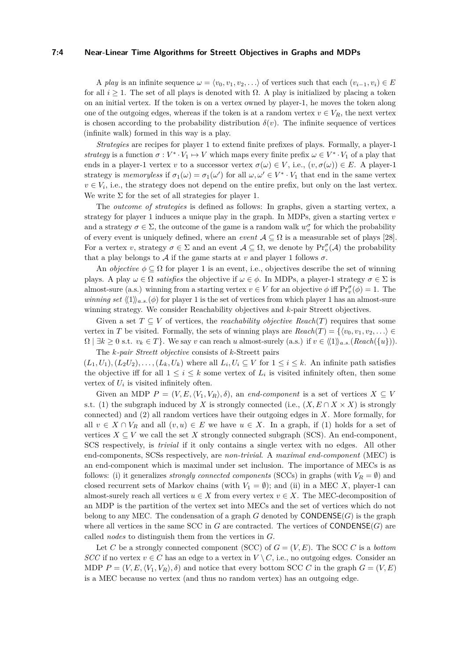#### **7:4 Near-Linear Time Algorithms for Streett Objectives in Graphs and MDPs**

A *play* is an infinite sequence  $\omega = \langle v_0, v_1, v_2, \ldots \rangle$  of vertices such that each  $(v_{i-1}, v_i) \in E$ for all  $i \geq 1$ . The set of all plays is denoted with  $\Omega$ . A play is initialized by placing a token on an initial vertex. If the token is on a vertex owned by player-1, he moves the token along one of the outgoing edges, whereas if the token is at a random vertex  $v \in V_R$ , the next vertex is chosen according to the probability distribution  $\delta(v)$ . The infinite sequence of vertices (infinite walk) formed in this way is a play.

*Strategies* are recipes for player 1 to extend finite prefixes of plays. Formally, a player-1 *strategy* is a function  $\sigma: V^* \cdot V_1 \mapsto V$  which maps every finite prefix  $\omega \in V^* \cdot V_1$  of a play that ends in a player-1 vertex *v* to a successor vertex  $\sigma(\omega) \in V$ , i.e.,  $(v, \sigma(\omega)) \in E$ . A player-1 strategy is *memoryless* if  $\sigma_1(\omega) = \sigma_1(\omega')$  for all  $\omega, \omega' \in V^* \cdot V_1$  that end in the same vertex  $v \in V_i$ , i.e., the strategy does not depend on the entire prefix, but only on the last vertex. We write  $\Sigma$  for the set of all strategies for player 1.

The *outcome of strategies* is defined as follows: In graphs, given a starting vertex, a strategy for player 1 induces a unique play in the graph. In MDPs, given a starting vertex *v* and a strategy  $\sigma \in \Sigma$ , the outcome of the game is a random walk  $w_v^{\sigma}$  for which the probability of every event is uniquely defined, where an *event*  $A \subseteq \Omega$  is a measurable set of plays [\[28\]](#page-15-1). For a vertex *v*, strategy  $\sigma \in \Sigma$  and an event  $\mathcal{A} \subseteq \Omega$ , we denote by  $\Pr_v^{\sigma}(\mathcal{A})$  the probability that a play belongs to  $A$  if the game starts at  $v$  and player 1 follows  $\sigma$ .

An *objective*  $\phi \subseteq \Omega$  for player 1 is an event, i.e., objectives describe the set of winning plays. A play  $\omega \in \Omega$  *satisfies* the objective if  $\omega \in \phi$ . In MDPs, a player-1 strategy  $\sigma \in \Sigma$  is almost-sure (a.s.) winning from a starting vertex  $v \in V$  for an objective  $\phi$  iff  $\Pr_v^{\sigma}(\phi) = 1$ . The *winning set*  $\langle\langle 1 \rangle_{a.s.}(\phi)$  for player 1 is the set of vertices from which player 1 has an almost-sure winning strategy. We consider Reachability objectives and *k*-pair Streett objectives.

Given a set  $T \subseteq V$  of vertices, the *reachability objective* Reach(T) requires that some vertex in *T* be visited. Formally, the sets of winning plays are  $Reach(T) = \{v_0, v_1, v_2, \ldots\} \in$  $\Omega \mid \exists k \geq 0 \text{ s.t. } v_k \in T\}.$  We say v can reach u almost-surely (a.s.) if  $v \in \langle\!\langle 1 \rangle\!\rangle_{a.s.}$  (*Reach*({*u*})). The *k-pair Streett objective* consists of *k*-Streett pairs

 $(L_1, U_1), (L_2 U_2), \ldots, (L_k, U_k)$  where all  $L_i, U_i \subseteq V$  for  $1 \leq i \leq k$ . An infinite path satisfies the objective iff for all  $1 \leq i \leq k$  some vertex of  $L_i$  is visited infinitely often, then some vertex of  $U_i$  is visited infinitely often.

Given an MDP  $P = (V, E, \langle V_1, V_R \rangle, \delta)$ , an *end-component* is a set of vertices  $X \subseteq V$ s.t. (1) the subgraph induced by *X* is strongly connected (i.e.,  $(X, E \cap X \times X)$  is strongly connected) and (2) all random vertices have their outgoing edges in *X*. More formally, for all  $v \in X \cap V_R$  and all  $(v, u) \in E$  we have  $u \in X$ . In a graph, if (1) holds for a set of vertices  $X \subseteq V$  we call the set X strongly connected subgraph (SCS). An end-component, SCS respectively, is *trivial* if it only contains a single vertex with no edges. All other end-components, SCSs respectively, are *non-trivial*. A *maximal end-component* (MEC) is an end-component which is maximal under set inclusion. The importance of MECs is as follows: (i) it generalizes *strongly connected components* (SCCs) in graphs (with  $V_R = \emptyset$ ) and closed recurrent sets of Markov chains (with  $V_1 = \emptyset$ ); and (ii) in a MEC X, player-1 can almost-surely reach all vertices  $u \in X$  from every vertex  $v \in X$ . The MEC-decomposition of an MDP is the partition of the vertex set into MECs and the set of vertices which do not belong to any MEC. The condensation of a graph  $G$  denoted by  **is the graph** where all vertices in the same SCC in  $G$  are contracted. The vertices of  $\mathsf{COMDENSE}(G)$  are called *nodes* to distinguish them from the vertices in *G*.

Let *C* be a strongly connected component (SCC) of  $G = (V, E)$ . The SCC *C* is a *bottom SCC* if no vertex  $v \in C$  has an edge to a vertex in  $V \setminus C$ , i.e., no outgoing edges. Consider an MDP  $P = (V, E, \langle V_1, V_R \rangle, \delta)$  and notice that every bottom SCC *C* in the graph  $G = (V, E)$ is a MEC because no vertex (and thus no random vertex) has an outgoing edge.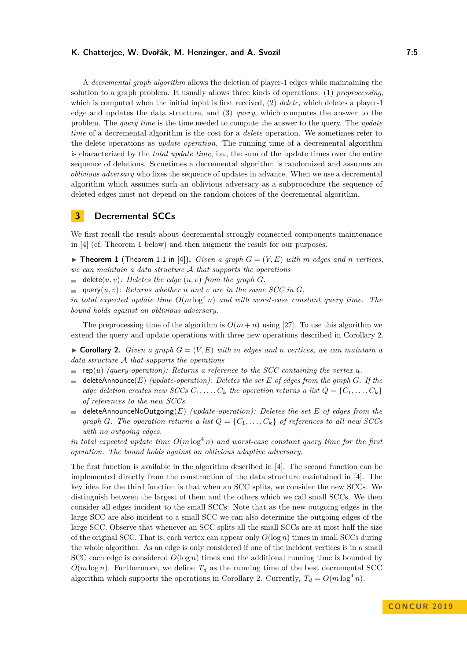#### K. Chatterjee, W. Dvořák, M. Henzinger, and A. Svozil **1988 1988 1988 1988 1988 1988 1988 1988 1988 1988 1988 1988 1988 1988 1988 1988 1988 1988 1988 1988 1988 1988 1988 1988**

A *decremental graph algorithm* allows the deletion of player-1 edges while maintaining the solution to a graph problem. It usually allows three kinds of operations: (1) *preprocessing*, which is computed when the initial input is first received, (2) *delete*, which deletes a player-1 edge and updates the data structure, and (3) *query*, which computes the answer to the problem. The *query time* is the time needed to compute the answer to the query. The *update time* of a decremental algorithm is the cost for a *delete* operation. We sometimes refer to the delete operations as *update operation*. The running time of a decremental algorithm is characterized by the *total update time*, i.e., the sum of the update times over the entire sequence of deletions. Sometimes a decremental algorithm is randomized and assumes an *oblivious adversary* who fixes the sequence of updates in advance. When we use a decremental algorithm which assumes such an oblivious adversary as a subprocedure the sequence of deleted edges must not depend on the random choices of the decremental algorithm.

## <span id="page-4-2"></span>**3 Decremental SCCs**

We first recall the result about decremental strongly connected components maintenance in [\[4\]](#page-14-16) (cf. Theorem [1](#page-4-0) below) and then augment the result for our purposes.

- <span id="page-4-0"></span> $\triangleright$  **Theorem 1** (Theorem 1.1 in [\[4\]](#page-14-16)). *Given a graph*  $G = (V, E)$  *with m* edges and *n* vertices, *we can maintain a data structure* A *that supports the operations*
- delete $(u, v)$ *: Deletes the edge*  $(u, v)$  *from the graph*  $G$ *.*  $\sim$
- query $(u, v)$ : Returns whether *u* and *v* are in the same SCC in G,  $\sim$

*in total expected update time*  $O(m \log^4 n)$  *and with worst-case constant query time. The bound holds against an oblivious adversary.*

The preprocessing time of the algorithm is  $O(m+n)$  using [\[27\]](#page-15-7). To use this algorithm we extend the query and update operations with three new operations described in Corollary [2.](#page-4-1)

<span id="page-4-1"></span> $\triangleright$  **Corollary 2.** *Given a graph*  $G = (V, E)$  *with m edges and n vertices, we can maintain a data structure* A *that supports the operations*

- $\equiv$  **rep**(*u*) (query-operation): Returns a reference to the SCC containing the vertex *u*.
- deleteAnnounce(*E*) *(update-operation): Deletes the set E of edges from the graph G. If the*  $\equiv$ *edge deletion creates new SCCs*  $C_1, \ldots, C_k$  *the operation returns a list*  $Q = \{C_1, \ldots, C_k\}$ *of references to the new SCCs.*
- deleteAnnounceNoOutgoing $(E)$  *(update-operation): Deletes the set*  $E$  *of edges from the graph G.* The operation returns a list  $Q = \{C_1, \ldots, C_k\}$  *of references to all new SCCs with no outgoing edges.*

*in total expected update time*  $O(m \log^4 n)$  *and worst-case constant query time for the first operation. The bound holds against an oblivious adaptive adversary.*

The first function is available in the algorithm described in [\[4\]](#page-14-16). The second function can be implemented directly from the construction of the data structure maintained in [\[4\]](#page-14-16). The key idea for the third function is that when an SCC splits, we consider the new SCCs. We distinguish between the largest of them and the others which we call small SCCs. We then consider all edges incident to the small SCCs: Note that as the new outgoing edges in the large SCC are also incident to a small SCC we can also determine the outgoing edges of the large SCC. Observe that whenever an SCC splits all the small SCCs are at most half the size of the original SCC. That is, each vertex can appear only *O*(log *n*) times in small SCCs during the whole algorithm. As an edge is only considered if one of the incident vertices is in a small SCC each edge is considered  $O(\log n)$  times and the additional running time is bounded by  $O(m \log n)$ . Furthermore, we define  $T_d$  as the running time of the best decremental SCC algorithm which supports the operations in Corollary [2.](#page-4-1) Currently,  $T_d = O(m \log^4 n)$ .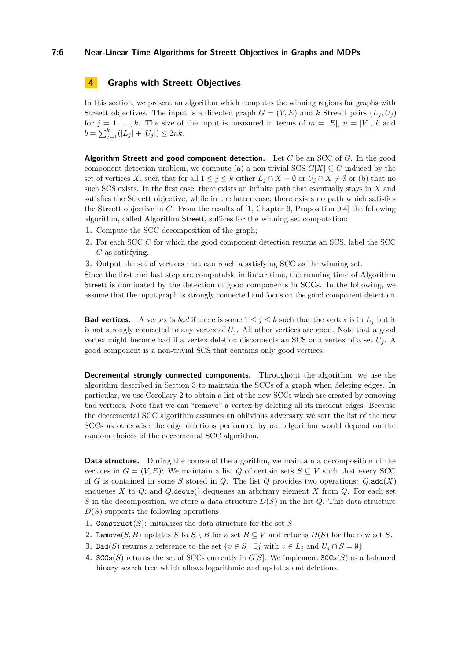#### **7:6 Near-Linear Time Algorithms for Streett Objectives in Graphs and MDPs**

## <span id="page-5-0"></span>**4 Graphs with Streett Objectives**

In this section, we present an algorithm which computes the winning regions for graphs with Streett objectives. The input is a directed graph  $G = (V, E)$  and *k* Streett pairs  $(L_i, U_i)$ for  $j = 1, ..., k$ . The size of the input is measured in terms of  $m = |E|$ ,  $n = |V|$ , k and  $b = \sum_{j=1}^{k} (|L_j| + |U_j|) \le 2nk.$ 

**Algorithm Streett and good component detection.** Let *C* be an SCC of *G*. In the good component detection problem, we compute (a) a non-trivial SCS  $G[X] \subseteq C$  induced by the set of vertices *X*, such that for all  $1 \leq j \leq k$  either  $L_j \cap X = \emptyset$  or  $U_j \cap X \neq \emptyset$  or (b) that no such SCS exists. In the first case, there exists an infinite path that eventually stays in *X* and satisfies the Streett objective, while in the latter case, there exists no path which satisfies the Streett objective in *C*. From the results of [\[1,](#page-14-4) Chapter 9, Proposition 9.4] the following algorithm, called Algorithm Streett, suffices for the winning set computation:

- **1.** Compute the SCC decomposition of the graph;
- **2.** For each SCC *C* for which the good component detection returns an SCS, label the SCC *C* as satisfying.
- **3.** Output the set of vertices that can reach a satisfying SCC as the winning set.

Since the first and last step are computable in linear time, the running time of Algorithm Streett is dominated by the detection of good components in SCCs. In the following, we assume that the input graph is strongly connected and focus on the good component detection.

**Bad vertices.** A vertex is *bad* if there is some  $1 \leq j \leq k$  such that the vertex is in  $L_j$  but it is not strongly connected to any vertex of  $U_j$ . All other vertices are good. Note that a good vertex might become bad if a vertex deletion disconnects an SCS or a vertex of a set  $U_i$ . good component is a non-trivial SCS that contains only good vertices.

**Decremental strongly connected components.** Throughout the algorithm, we use the algorithm described in Section [3](#page-4-2) to maintain the SCCs of a graph when deleting edges. In particular, we use Corollary [2](#page-4-1) to obtain a list of the new SCCs which are created by removing bad vertices. Note that we can "remove" a vertex by deleting all its incident edges. Because the decremental SCC algorithm assumes an oblivious adversary we sort the list of the new SCCs as otherwise the edge deletions performed by our algorithm would depend on the random choices of the decremental SCC algorithm.

**Data structure.** During the course of the algorithm, we maintain a decomposition of the vertices in  $G = (V, E)$ : We maintain a list Q of certain sets  $S \subseteq V$  such that every SCC of *G* is contained in some *S* stored in *Q*. The list *Q* provides two operations:  $Q$ .add(*X*) enqueues  $X$  to  $Q$ ; and  $Q$ .deque() dequeues an arbitrary element  $X$  from  $Q$ . For each set *S* in the decomposition, we store a data structure  $D(S)$  in the list *Q*. This data structure *D*(*S*) supports the following operations

- **1.** Construct(*S*): initializes the data structure for the set *S*
- **2.** Remove $(S, B)$  updates *S* to *S* \ *B* for a set  $B \subseteq V$  and returns  $D(S)$  for the new set *S*.
- **3.** Bad(*S*) returns a reference to the set  $\{v \in S \mid \exists j \text{ with } v \in L_j \text{ and } U_j \cap S = \emptyset\}$
- **4.**  $SCCs(S)$  returns the set of SCCs currently in  $G[S]$ . We implement  $SCCs(S)$  as a balanced binary search tree which allows logarithmic and updates and deletions.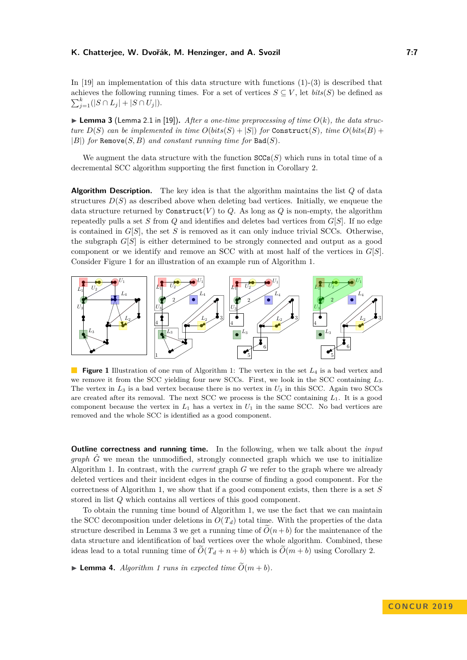In  $[19]$  an implementation of this data structure with functions  $(1)-(3)$  is described that achieves the following running times. For a set of vertices  $S \subseteq V$ , let *bits*(*S*) be defined as  $\sum_{j=1}^{k} (|S \cap L_j| + |S \cap U_j|).$ 

<span id="page-6-1"></span> $\blacktriangleright$  **Lemma 3** (Lemma 2.1 in [\[19\]](#page-14-10)). After a one-time preprocessing of time  $O(k)$ , the data struc*ture*  $D(S)$  *can be implemented in time*  $O(bits(S) + |S|)$  *for* Construct(*S*)*, time*  $O(bits(B) +$  $|B|$ ) *for* Remove $(S, B)$  *and constant running time for* Bad $(S)$ *.* 

We augment the data structure with the function  $SCCs(S)$  which runs in total time of a decremental SCC algorithm supporting the first function in Corollary [2.](#page-4-1)

**Algorithm Description.** The key idea is that the algorithm maintains the list *Q* of data structures  $D(S)$  as described above when deleting bad vertices. Initially, we enqueue the data structure returned by  $\text{Construct}(V)$  to  $Q$ . As long as  $Q$  is non-empty, the algorithm repeatedly pulls a set  $S$  from  $Q$  and identifies and deletes bad vertices from  $G[S]$ . If no edge is contained in  $G[S]$ , the set *S* is removed as it can only induce trivial SCCs. Otherwise, the subgraph *G*[*S*] is either determined to be strongly connected and output as a good component or we identify and remove an SCC with at most half of the vertices in *G*[*S*]. Consider Figure [1](#page-6-0) for an illustration of an example run of Algorithm [1.](#page-7-0)

<span id="page-6-0"></span>

**Figure 1** Illustration of one run of Algorithm [1:](#page-7-0) The vertex in the set *L*<sup>4</sup> is a bad vertex and we remove it from the SCC yielding four new SCCs. First, we look in the SCC containing *L*3. The vertex in *L*<sup>3</sup> is a bad vertex because there is no vertex in *U*<sup>3</sup> in this SCC. Again two SCCs are created after its removal. The next SCC we process is the SCC containing *L*1. It is a good component because the vertex in  $L_1$  has a vertex in  $U_1$  in the same SCC. No bad vertices are removed and the whole SCC is identified as a good component.

**Outline correctness and running time.** In the following, when we talk about the *input graph*  $\hat{G}$  we mean the unmodified, strongly connected graph which we use to initialize Algorithm [1.](#page-7-0) In contrast, with the *current* graph *G* we refer to the graph where we already deleted vertices and their incident edges in the course of finding a good component. For the correctness of Algorithm [1,](#page-7-0) we show that if a good component exists, then there is a set *S* stored in list *Q* which contains all vertices of this good component.

To obtain the running time bound of Algorithm [1,](#page-7-0) we use the fact that we can maintain the SCC decomposition under deletions in  $O(T_d)$  total time. With the properties of the data structure described in Lemma [3](#page-6-1) we get a running time of  $\tilde{O}(n + b)$  for the maintenance of the data structure and identification of bad vertices over the whole algorithm. Combined, these ideas lead to a total running time of  $O(T_d + n + b)$  which is  $O(m + b)$  using Corollary [2.](#page-4-1)

<span id="page-6-2"></span>**Example 4.** Algorithm [1](#page-7-0) runs in expected time  $\widetilde{O}(m + b)$ .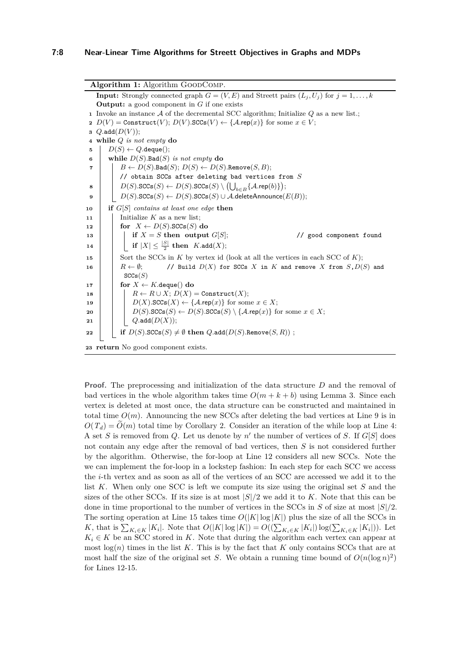#### **7:8 Near-Linear Time Algorithms for Streett Objectives in Graphs and MDPs**

<span id="page-7-10"></span><span id="page-7-9"></span><span id="page-7-8"></span><span id="page-7-3"></span><span id="page-7-2"></span><span id="page-7-1"></span><span id="page-7-0"></span>Algorithm 1: Algorithm GOODCOMP. **Input:** Strongly connected graph  $G = (V, E)$  and Streett pairs  $(L_i, U_j)$  for  $j = 1, \ldots, k$ **Output:** a good component in *G* if one exists Invoke an instance A of the decremental SCC algorithm; Initialize *Q* as a new list.;  $D(V) = \text{Construct}(V); D(V).SCCs(V) \leftarrow \{A.\text{rep}(x)\}$  for some  $x \in V$ ; *Q.*add(*D*(*V* )); **while** *Q is not empty* **do**  $5 \mid D(S) \leftarrow Q$ .deque(); **while**  $D(S)$ .Bad $(S)$  *is not empty* **do**   $\vert$   $B \leftarrow D(S)$ .Bad $(S); D(S) \leftarrow D(S)$ .Remove $(S, B);$ // obtain SCCs after deleting bad vertices from *S*  $\mathbf{B}$  **c**  $D(S)$ .SCCs $(S) \leftarrow D(S)$ .SCCs $(S) \setminus (\bigcup_{b \in B} {\{\mathcal{A}.\mathsf{rep}(b)\}});$   $\vert$  *D(S)*.SCCs(*S)* ← *D(S)*.SCCs(*S)* ∪ *A*.deleteAnnounce(*E(B)*); **if** *G*[*S*] *contains at least one edge* **then** | Initialize *K* as a new list;  $\mathbf{12}$  **for**  $X \leftarrow D(S)$ .SCCs $(S)$  **do ii if**  $X = S$  **then output**  $G[S]$ ;  $\qquad \qquad \qquad$  // good component found  $\begin{array}{|c|c|c|c|}\n\hline\n\textbf{14} & \multicolumn{1}{|c|}{\quad \textbf{if} \ |X| \leq \frac{|S|}{2} \ \textbf{then} \ \ K.\mathtt{add}(X);}\n\hline \end{array}$  Sort the SCCs in *K* by vertex id (look at all the vertices in each SCC of *K*);  $R \leftarrow \emptyset$ ; // Build  $D(X)$  for SCCs X in K and remove X from  $S, D(S)$  and SCCs(*S*) **for**  $X \leftarrow K$ .deque() **do**  $\vert$   $\vert$   $\vert$   $R \leftarrow R \cup X; D(X) = \text{Construct}(X);$   $\vert$  **d**  $D(X)$ .SCCs $(X) \leftarrow \{A.\text{rep}(x)\}\$ for some  $x \in X$ ;  $\vert$   $\vert$   $\vert$   $D(S)$ .SCCs $(S) \leftarrow D(S)$ .SCCs $(S) \setminus \{A \cdot \text{rep}(x)\}$  for some  $x \in X$ ;  $\vert$   $\vert$   $\vert$   $Q.\text{add}(D(X));$  **i if**  $D(S)$ .SCCs $(S) \neq \emptyset$  **then**  $Q$ .add $(D(S)$ .Remove $(S, R))$ ; **return** No good component exists.

<span id="page-7-7"></span><span id="page-7-6"></span><span id="page-7-5"></span><span id="page-7-4"></span>**Proof.** The preprocessing and initialization of the data structure D and the removal of bad vertices in the whole algorithm takes time  $O(m + k + b)$  using Lemma [3.](#page-6-1) Since each vertex is deleted at most once, the data structure can be constructed and maintained in total time  $O(m)$ . Announcing the new SCCs after deleting the bad vertices at Line [9](#page-7-1) is in  $O(T_d) = O(m)$  total time by Corollary [2.](#page-4-1) Consider an iteration of the while loop at Line [4:](#page-7-2) A set *S* is removed from *Q*. Let us denote by  $n'$  the number of vertices of *S*. If  $G[S]$  does not contain any edge after the removal of bad vertices, then *S* is not considered further by the algorithm. Otherwise, the for-loop at Line [12](#page-7-3) considers all new SCCs. Note the we can implement the for-loop in a lockstep fashion: In each step for each SCC we access the *i*-th vertex and as soon as all of the vertices of an SCC are accessed we add it to the list *K*. When only one SCC is left we compute its size using the original set *S* and the sizes of the other SCCs. If its size is at most  $|S|/2$  we add it to *K*. Note that this can be done in time proportional to the number of vertices in the SCCs in *S* of size at most |*S*|*/*2. The sorting operation at Line [15](#page-7-4) takes time  $O(|K| \log |K|)$  plus the size of all the SCCs in K, that is  $\sum_{K_i \in K} |K_i|$ . Note that  $O(|K| \log |K|) = O((\sum_{K_i \in K} |K_i|) \log(\sum_{K_i \in K} |K_i|)).$  Let  $K_i \in K$  be an SCC stored in *K*. Note that during the algorithm each vertex can appear at most  $log(n)$  times in the list *K*. This is by the fact that *K* only contains SCCs that are at most half the size of the original set *S*. We obtain a running time bound of  $O(n(\log n)^2)$ for Lines [12](#page-7-3)[-15.](#page-7-4)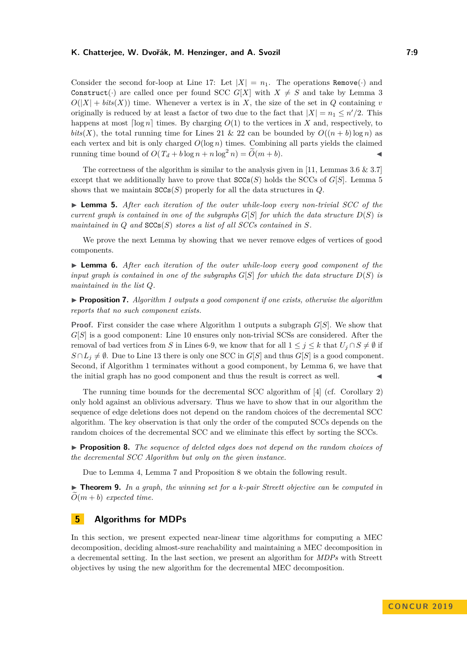#### **K. Chatterjee, W. Dvořák, M. Henzinger, and A. Svozil 7:9**

Consider the second for-loop at Line [17:](#page-7-5) Let  $|X| = n_1$ . The operations Remove(.) and Construct(·) are called once per found SCC  $G[X]$  with  $X \neq S$  and take by Lemma [3](#page-6-1)  $O(|X| + \text{bits}(X))$  time. Whenever a vertex is in *X*, the size of the set in *Q* containing *v* originally is reduced by at least a factor of two due to the fact that  $|X| = n_1 \leq n'/2$ . This happens at most  $\lceil \log n \rceil$  times. By charging  $O(1)$  to the vertices in *X* and, respectively, to *bits*(*X*), the total running time for Lines [21](#page-7-6) & [22](#page-7-7) can be bounded by  $O((n + b) \log n)$  as each vertex and bit is only charged  $O(\log n)$  times. Combining all parts yields the claimed running time bound of  $O(T_d + b \log n + n \log^2 n) = \widetilde{O}(m + b)$ .

The correctness of the algorithm is similar to the analysis given in [\[11,](#page-14-17) Lemmas 3.6 & 3.7] except that we additionally have to prove that  $SCCs(S)$  holds the SCCs of  $G[S]$ . Lemma [5](#page-8-0) shows that we maintain  $SCCs(S)$  properly for all the data structures in  $Q$ .

<span id="page-8-0"></span>**► Lemma 5.** *After each iteration of the outer while-loop every non-trivial SCC of the current graph is contained in one of the subgraphs*  $G[S]$  *for which the data structure*  $D(S)$  *is maintained in Q and* SCCs(*S*) *stores a list of all SCCs contained in S.*

We prove the next Lemma by showing that we never remove edges of vertices of good components.

<span id="page-8-1"></span>**► Lemma 6.** *After each iteration of the outer while-loop every good component of the input graph is contained in one of the subgraphs*  $G[S]$  *for which the data structure*  $D(S)$  *is maintained in the list Q.*

<span id="page-8-2"></span>I **Proposition 7.** *Algorithm [1](#page-7-0) outputs a good component if one exists, otherwise the algorithm reports that no such component exists.*

**Proof.** First consider the case where Algorithm [1](#page-7-0) outputs a subgraph *G*[*S*]. We show that *G*[*S*] is a good component: Line [10](#page-7-8) ensures only non-trivial SCSs are considered. After the removal of bad vertices from *S* in Lines [6](#page-7-9)[-9,](#page-7-1) we know that for all  $1 \leq j \leq k$  that  $U_j \cap S \neq \emptyset$  if  $S \cap L_i \neq \emptyset$ . Due to Line [13](#page-7-10) there is only one SCC in *G*[*S*] and thus *G*[*S*] is a good component. Second, if Algorithm [1](#page-7-0) terminates without a good component, by Lemma [6,](#page-8-1) we have that the initial graph has no good component and thus the result is correct as well. J

The running time bounds for the decremental SCC algorithm of [\[4\]](#page-14-16) (cf. Corollary [2\)](#page-4-1) only hold against an oblivious adversary. Thus we have to show that in our algorithm the sequence of edge deletions does not depend on the random choices of the decremental SCC algorithm. The key observation is that only the order of the computed SCCs depends on the random choices of the decremental SCC and we eliminate this effect by sorting the SCCs.

<span id="page-8-3"></span>I **Proposition 8.** *The sequence of deleted edges does not depend on the random choices of the decremental SCC Algorithm but only on the given instance.*

Due to Lemma [4,](#page-6-2) Lemma [7](#page-8-2) and Proposition [8](#page-8-3) we obtain the following result.

I **Theorem 9.** *In a graph, the winning set for a k-pair Streett objective can be computed in*  $\tilde{O}(m + b)$  *expected time.* 

## **5 Algorithms for MDPs**

In this section, we present expected near-linear time algorithms for computing a MEC decomposition, deciding almost-sure reachability and maintaining a MEC decomposition in a decremental setting. In the last section, we present an algorithm for *MDPs* with Streett objectives by using the new algorithm for the decremental MEC decomposition.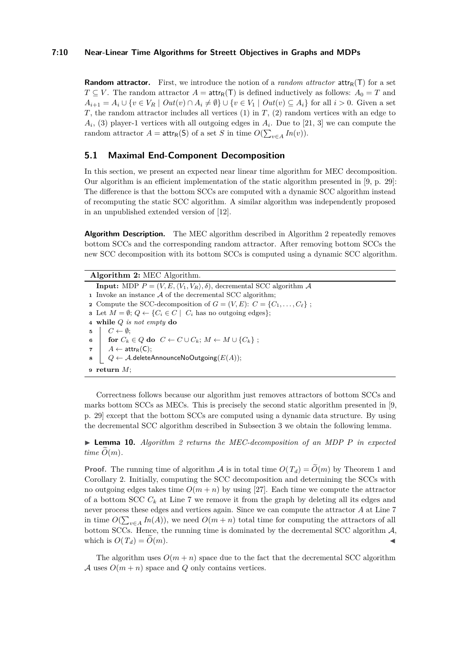**Random attractor.** First, we introduce the notion of a *random attractor*  $\text{attr}_R(T)$  for a set *T*  $\subseteq$  *V*. The random attractor *A* = **attr<sub>R</sub>(T)** is defined inductively as follows: *A*<sup>0</sup> = *T* and  $A_{i+1} = A_i \cup \{v \in V_R \mid Out(v) \cap A_i \neq \emptyset\} \cup \{v \in V_1 \mid Out(v) \subseteq A_i\}$  for all  $i > 0$ . Given a set *T*, the random attractor includes all vertices (1) in *T*, (2) random vertices with an edge to  $A_i$ , (3) player-1 vertices with all outgoing edges in  $A_i$ . Due to [\[21,](#page-15-8) [3\]](#page-14-18) we can compute the random attractor  $A = \text{attr}_{\mathsf{R}}(\mathsf{S})$  of a set *S* in time  $O(\sum_{v \in A} In(v)).$ 

## <span id="page-9-3"></span>**5.1 Maximal End-Component Decomposition**

In this section, we present an expected near linear time algorithm for MEC decomposition. Our algorithm is an efficient implementation of the static algorithm presented in [\[9,](#page-14-14) p. 29]: The difference is that the bottom SCCs are computed with a dynamic SCC algorithm instead of recomputing the static SCC algorithm. A similar algorithm was independently proposed in an unpublished extended version of [\[12\]](#page-14-19).

**Algorithm Description.** The MEC algorithm described in Algorithm [2](#page-9-0) repeatedly removes bottom SCCs and the corresponding random attractor. After removing bottom SCCs the new SCC decomposition with its bottom SCCs is computed using a dynamic SCC algorithm.

<span id="page-9-0"></span>**Algorithm 2:** MEC Algorithm. **Input:** MDP  $P = (V, E, \langle V_1, V_R \rangle, \delta)$ , decremental SCC algorithm A **<sup>1</sup>** Invoke an instance A of the decremental SCC algorithm; **2** Compute the SCC-decomposition of  $G = (V, E): C = \{C_1, \ldots, C_\ell\}$ ; **3** Let  $M = \emptyset$ ;  $Q \leftarrow \{C_i \in C \mid C_i \text{ has no outgoing edges}\};$ **<sup>4</sup> while** *Q is not empty* **do**  $5 \mid C \leftarrow \emptyset;$ **6**  $\left| \textbf{for } C_k \in Q \textbf{ do } C \leftarrow C \cup C_k; M \leftarrow M \cup \{C_k\};$  $\tau \mid A \leftarrow \text{attr}_{R}(C);$  $\vert Q \leftarrow A$ .deleteAnnounceNoOutgoing( $E(A)$ ); **<sup>9</sup> return** *M*;

<span id="page-9-1"></span>Correctness follows because our algorithm just removes attractors of bottom SCCs and marks bottom SCCs as MECs. This is precisely the second static algorithm presented in [\[9,](#page-14-14) p. 29] except that the bottom SCCs are computed using a dynamic data structure. By using the decremental SCC algorithm described in Subsection [3](#page-4-2) we obtain the following lemma.

I **Lemma 10.** *Algorithm [2](#page-9-0) returns the MEC-decomposition of an MDP P in expected*  $time\ O(m)$ .

**Proof.** The running time of algorithm A is in total time  $O(T_d) = \tilde{O}(m)$  by Theorem [1](#page-4-0) and Corollary [2.](#page-4-1) Initially, computing the SCC decomposition and determining the SCCs with no outgoing edges takes time  $O(m + n)$  by using [\[27\]](#page-15-7). Each time we compute the attractor of a bottom SCC  $C_k$  at Line [7](#page-9-1) we remove it from the graph by deleting all its edges and never process these edges and vertices again. Since we can compute the attractor *A* at Line [7](#page-9-1) in time  $O(\sum_{v \in A} In(A))$ , we need  $O(m+n)$  total time for computing the attractors of all bottom SCCs. Hence, the running time is dominated by the decremental SCC algorithm  $A$ , which is  $O(T_d) = O(m)$ .

<span id="page-9-2"></span>The algorithm uses  $O(m+n)$  space due to the fact that the decremental SCC algorithm A uses  $O(m + n)$  space and Q only contains vertices.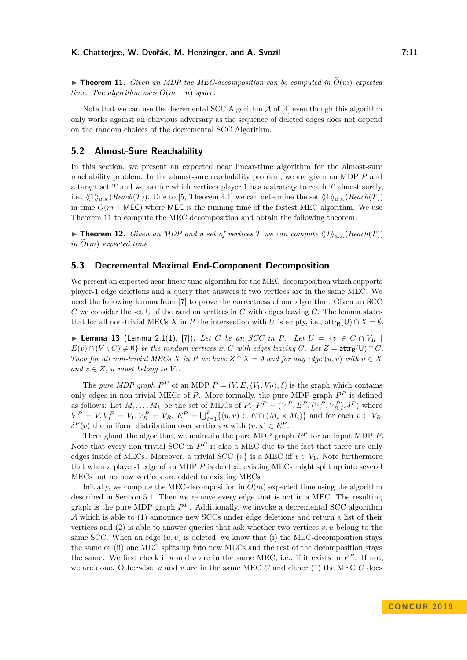$\triangleright$  **Theorem 11.** *Given an MDP the MEC-decomposition can be computed in*  $\widetilde{O}(m)$  *expected time. The algorithm uses*  $O(m+n)$  *space.* 

Note that we can use the decremental SCC Algorithm  $\mathcal A$  of [\[4\]](#page-14-16) even though this algorithm only works against an oblivious adversary as the sequence of deleted edges does not depend on the random choices of the decremental SCC Algorithm.

### **5.2 Almost-Sure Reachability**

In this section, we present an expected near linear-time algorithm for the almost-sure reachability problem. In the almost-sure reachability problem, we are given an MDP *P* and a target set *T* and we ask for which vertices player 1 has a strategy to reach *T* almost surely, i.e.,  $\langle\!\langle 1 \rangle\!\rangle_{a.s.}(Reach(T))$ . Due to [\[5,](#page-14-15) Theorem 4.1] we can determine the set  $\langle\!\langle 1 \rangle\!\rangle_{a.s.}(Reach(T))$ in time  $O(m + \text{MEC})$  where MEC is the running time of the fastest MEC algorithm. We use Theorem [11](#page-9-2) to compute the MEC decomposition and obtain the following theorem.

**Find 12.** *Given an MDP and a set of vertices T we can compute*  $\langle\langle 1 \rangle\rangle_{a.s.}$  *(Reach*(*T*))  $in \tilde{O}(m)$  *expected time.* 

## <span id="page-10-1"></span>**5.3 Decremental Maximal End-Component Decomposition**

We present an expected near-linear time algorithm for the MEC-decomposition which supports player-1 edge deletions and a query that answers if two vertices are in the same MEC. We need the following lemma from [\[7\]](#page-14-12) to prove the correctness of our algorithm. Given an SCC *C* we consider the set U of the random vertices in *C* with edges leaving *C*. The lemma states that for all non-trivial MECs *X* in *P* the intersection with *U* is empty, i.e.,  $\text{attr}_R(U) \cap X = \emptyset$ .

<span id="page-10-0"></span>▶ **Lemma 13** (Lemma 2.1(1), [\[7\]](#page-14-12)). *Let C be an SCC in P*. *Let*  $U = \{v \in C \cap V_R \mid$  $E(v) \cap (V \setminus C) \neq \emptyset$  *be the random vertices in C with edges leaving C. Let*  $Z = \text{attr}_{R}(U) \cap C$ *. Then for all non-trivial MECs*  $X$  *in*  $P$  *we have*  $Z \cap X = \emptyset$  *and for any edge*  $(u, v)$  *with*  $u \in X$ *and*  $v \in Z$ *, u <i>must belong to*  $V_1$ *.* 

The *pure MDP graph*  $P^P$  of an MDP  $P = (V, E, \langle V_1, V_R \rangle, \delta)$  is the graph which contains only edges in non-trivial MECs of *P*. More formally, the pure MDP graph *P <sup>P</sup>* is defined as follows: Let  $M_1, \ldots M_k$  be the set of MECs of P.  $P^P = (V^P, E^P, \langle V_1^P, V_R^P \rangle, \delta^P)$  where  $V^P = V, V_1^P = V_1, V_R^P = V_R, E^P = \bigcup_{i=1}^k \{(u, v) \in E \cap (M_i \times M_i)\}\$ and for each  $v \in V_R$ :  $\delta^P(v)$  the uniform distribution over vertices *u* with  $(v, u) \in E^P$ .

Throughout the algorithm, we maintain the pure MDP graph  $P<sup>P</sup>$  for an input MDP  $P$ . Note that every non-trivial SCC in  $P<sup>P</sup>$  is also a MEC due to the fact that there are only edges inside of MECs. Moreover, a trivial SCC  $\{v\}$  is a MEC iff  $v \in V_1$ . Note furthermore that when a player-1 edge of an MDP *P* is deleted, existing MECs might split up into several MECs but no new vertices are added to existing MECs.

Initially, we compute the MEC-decomposition in  $\tilde{O}(m)$  expected time using the algorithm described in Section [5.1.](#page-9-3) Then we remove every edge that is not in a MEC. The resulting graph is the pure MDP graph  $P^P$ . Additionally, we invoke a decremental SCC algorithm A which is able to (1) announce new SCCs under edge deletions and return a list of their vertices and  $(2)$  is able to answer queries that ask whether two vertices  $v, u$  belong to the same SCC. When an edge  $(u, v)$  is deleted, we know that (i) the MEC-decomposition stays the same or (ii) one MEC splits up into new MECs and the rest of the decomposition stays the same. We first check if *u* and *v* are in the same MEC, i.e., if it exists in  $P^P$ . If not, we are done. Otherwise, *u* and *v* are in the same MEC *C* and either (1) the MEC *C* does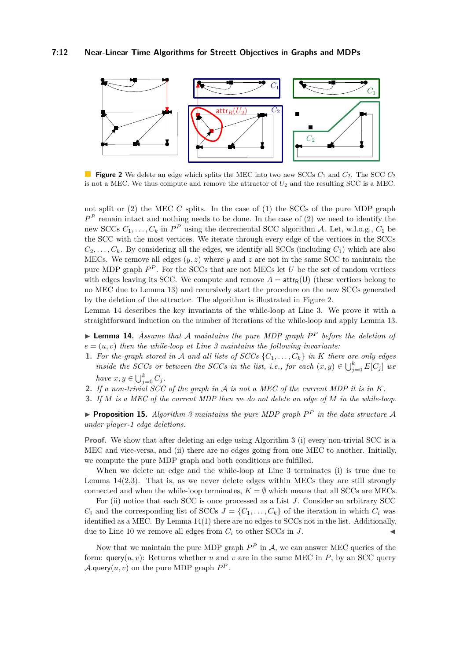<span id="page-11-0"></span>

**Figure 2** We delete an edge which splits the MEC into two new SCCs  $C_1$  and  $C_2$ . The SCC  $C_2$ is not a MEC. We thus compute and remove the attractor of  $U_2$  and the resulting SCC is a MEC.

not split or (2) the MEC *C* splits. In the case of (1) the SCCs of the pure MDP graph *P <sup>P</sup>* remain intact and nothing needs to be done. In the case of (2) we need to identify the new SCCs  $C_1, \ldots, C_k$  in  $P^P$  using the decremental SCC algorithm A. Let, w.l.o.g.,  $C_1$  be the SCC with the most vertices. We iterate through every edge of the vertices in the SCCs  $C_2, \ldots, C_k$ . By considering all the edges, we identify all SCCs (including  $C_1$ ) which are also MECs. We remove all edges  $(y, z)$  where  $y$  and  $z$  are not in the same SCC to maintain the pure MDP graph  $P^P$ . For the SCCs that are not MECs let *U* be the set of random vertices with edges leaving its SCC. We compute and remove  $A = \text{attr}_{R}(U)$  (these vertices belong to no MEC due to Lemma [13\)](#page-10-0) and recursively start the procedure on the new SCCs generated by the deletion of the attractor. The algorithm is illustrated in Figure [2.](#page-11-0)

Lemma [14](#page-11-1) describes the key invariants of the while-loop at Line [3.](#page-12-0) We prove it with a straightforward induction on the number of iterations of the while-loop and apply Lemma [13.](#page-10-0)

<span id="page-11-1"></span> $\blacktriangleright$  **Lemma 14.** *Assume that A maintains the pure MDP graph*  $P^P$  *before the deletion of*  $e = (u, v)$  *then the while-loop at Line [3](#page-12-0) maintains the following invariants:* 

- **1.** For the graph stored in A and all lists of  $SCCs$   $\{C_1, \ldots, C_k\}$  in K there are only edges *inside the SCCs or between the SCCs in the list, i.e., for each*  $(x, y) \in \bigcup_{j=0}^{k} E[C_j]$  we *have*  $x, y \in \bigcup_{j=0}^{k} C_j$ .
- **2.** *If a non-trivial SCC of the graph in* A *is not a MEC of the current MDP it is in K.*
- **3.** *If M is a MEC of the current MDP then we do not delete an edge of M in the while-loop.*

<span id="page-11-2"></span>**• Proposition 15.** Algorithm [3](#page-12-1) maintains the pure MDP graph  $P^P$  in the data structure A *under player-1 edge deletions.*

**Proof.** We show that after deleting an edge using Algorithm [3](#page-12-1) (i) every non-trivial SCC is a MEC and vice-versa, and (ii) there are no edges going from one MEC to another. Initially, we compute the pure MDP graph and both conditions are fulfilled.

When we delete an edge and the while-loop at Line [3](#page-12-0) terminates (i) is true due to Lemma  $14(2,3)$ . That is, as we never delete edges within MECs they are still strongly connected and when the while-loop terminates,  $K = \emptyset$  which means that all SCCs are MECs.

For (ii) notice that each SCC is once processed as a List *J*. Consider an arbitrary SCC  $C_i$  and the corresponding list of SCCs  $J = \{C_1, \ldots, C_k\}$  of the iteration in which  $C_i$  was identified as a MEC. By Lemma [14\(](#page-11-1)1) there are no edges to SCCs not in the list. Additionally, due to Line [10](#page-12-2) we remove all edges from  $C_i$  to other SCCs in  $J$ .

Now that we maintain the pure MDP graph  $P^P$  in  $A$ , we can answer MEC queries of the form:  $query(u, v)$ : Returns whether *u* and *v* are in the same MEC in *P*, by an SCC query  $\mathcal{A}.$ query $(u, v)$  on the pure MDP graph  $P^P$ .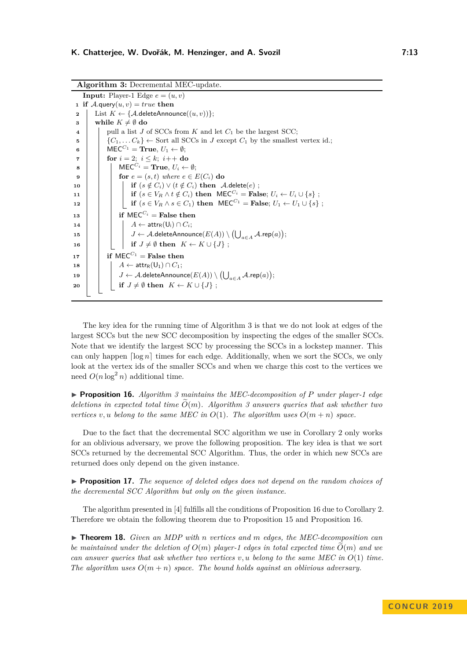```
Algorithm 3: Decremental MEC-update.
    Input: Player-1 Edge e = (u, v)1 if \mathcal{A}.query(u, v) = true then
 2 List K \leftarrow \{A.\text{delete} \text{Announce}((u, v))\};3 while K \neq \emptyset do
 4 | pull a list J of SCCs from K and let C_1 be the largest SCC;
 5 \{C_1, \ldots C_k\} \leftarrow Sort all SCCs in J except C_1 by the smallest vertex id.;
 6 MEC<sup>C<sub>1</sub></sub> = True, U_1 \leftarrow \emptyset;</sup>
 7 for i = 2; i \leq k; i + 1do
 8 \vert \vert MEC<sup>C<sub>i</sub> = True, U<sub>i</sub> \leftarrow \emptyset;</sup>
 9 for e = (s, t) where e \in E(C_i) do
10 i if (s \notin C_i) \vee (t \notin C_i) then \mathcal{A}.delete(e);
11 \left| \begin{array}{c} | \\ | \end{array} \right| if (s \in V_R \land t \notin C_i) then \mathsf{MEC}^{C_i} = \mathbf{False}; U_i \leftarrow U_i \cup \{s\};
12 i i if (s \in V_R \land s \in C_1) then MEC^{C_1} = \textbf{False}; U_1 \leftarrow U_1 \cup \{s\};13 if MEC<sup>C<sub>i</sub> = False then</sup>
14 A ← attrR(Ui) ∩ Ci;
\begin{array}{|c|c|c|c|}\hline\quad &J\leftarrow \mathcal{A}.\mathsf{deleteAnnounce}(E(A))\setminus \left(\bigcup_{a\in A}\mathcal{A}.\mathsf{rep}(a)\right); \end{array}16 \begin{bmatrix} \phantom{i} \end{bmatrix} if J \neq \emptyset then K \leftarrow K \cup \{J\};
\mathbf{17} if MEC<sup>C<sub>1</sub></sup> = False then
18 \vert A \leftarrow attr<sub>R</sub>(U<sub>1</sub>) \cap C_1;
19 J \leftarrow \mathcal{A}.deleteAnnounce(E(A)) \setminus \left( \bigcup_{a \in A} \mathcal{A}.rep(a) \right);20 \vert if J \neq \emptyset then K \leftarrow K \cup \{J\};
```
The key idea for the running time of Algorithm [3](#page-12-1) is that we do not look at edges of the largest SCCs but the new SCC decomposition by inspecting the edges of the smaller SCCs. Note that we identify the largest SCC by processing the SCCs in a lockstep manner. This can only happen  $\lceil \log n \rceil$  times for each edge. Additionally, when we sort the SCCs, we only look at the vertex ids of the smaller SCCs and when we charge this cost to the vertices we need  $O(n \log^2 n)$  additional time.

<span id="page-12-3"></span>I **Proposition 16.** *Algorithm [3](#page-12-1) maintains the MEC-decomposition of P under player-1 edge deletions in expected total time*  $O(m)$ *. Algorithm* [3](#page-12-1) answers queries that ask whether two *vertices*  $v, u$  *belong to the same MEC in*  $O(1)$ *. The algorithm uses*  $O(m + n)$  *space.* 

Due to the fact that the decremental SCC algorithm we use in Corollary [2](#page-4-1) only works for an oblivious adversary, we prove the following proposition. The key idea is that we sort SCCs returned by the decremental SCC Algorithm. Thus, the order in which new SCCs are returned does only depend on the given instance.

▶ **Proposition 17.** *The sequence of deleted edges does not depend on the random choices of the decremental SCC Algorithm but only on the given instance.*

The algorithm presented in [\[4\]](#page-14-16) fulfills all the conditions of Proposition [16](#page-12-3) due to Corollary [2.](#page-4-1) Therefore we obtain the following theorem due to Proposition [15](#page-11-2) and Proposition [16.](#page-12-3)

I **Theorem 18.** *Given an MDP with n vertices and m edges, the MEC-decomposition can be maintained under the deletion of*  $O(m)$  *player-1 edges in total expected time*  $\tilde{O}(m)$  *and we can answer queries that ask whether two vertices v, u belong to the same MEC in O*(1) *time. The algorithm uses*  $O(m+n)$  *space. The bound holds against an oblivious adversary.*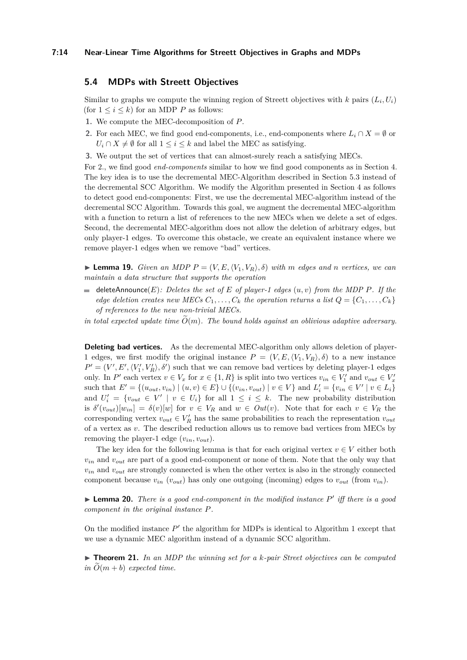#### **7:14 Near-Linear Time Algorithms for Streett Objectives in Graphs and MDPs**

## **5.4 MDPs with Streett Objectives**

Similar to graphs we compute the winning region of Streett objectives with  $k$  pairs  $(L_i, U_i)$ (for  $1 \leq i \leq k$ ) for an MDP *P* as follows:

**1.** We compute the MEC-decomposition of *P*.

- **2.** For each MEC, we find good end-components, i.e., end-components where  $L_i \cap X = \emptyset$  or  $U_i \cap X \neq \emptyset$  for all  $1 \leq i \leq k$  and label the MEC as satisfying.
- **3.** We output the set of vertices that can almost-surely reach a satisfying MECs.

For 2., we find good *end-components* similar to how we find good components as in Section [4.](#page-5-0) The key idea is to use the decremental MEC-Algorithm described in Section [5.3](#page-10-1) instead of the decremental SCC Algorithm. We modify the Algorithm presented in Section [4](#page-5-0) as follows to detect good end-components: First, we use the decremental MEC-algorithm instead of the decremental SCC Algorithm. Towards this goal, we augment the decremental MEC-algorithm with a function to return a list of references to the new MECs when we delete a set of edges. Second, the decremental MEC-algorithm does not allow the deletion of arbitrary edges, but only player-1 edges. To overcome this obstacle, we create an equivalent instance where we remove player-1 edges when we remove "bad" vertices.

**Example 19.** *Given an MDP*  $P = (V, E, \langle V_1, V_R \rangle, \delta)$  *with m edges and n vertices, we can maintain a data structure that supports the operation*

deleteAnnounce(*E*): Deletes the set of *E* of player-1 edges  $(u, v)$  from the MDP P. If the *edge deletion creates new MECs*  $C_1, \ldots, C_k$  *the operation returns a list*  $Q = \{C_1, \ldots, C_k\}$ *of references to the new non-trivial MECs.*

*in total expected update time*  $\widetilde{O}(m)$ *. The bound holds against an oblivious adaptive adversary.* 

**Deleting bad vertices.** As the decremental MEC-algorithm only allows deletion of player-1 edges, we first modify the original instance  $P = (V, E, \langle V_1, V_R \rangle, \delta)$  to a new instance  $P' = (V', E', \langle V'_1, V'_R \rangle, \delta')$  such that we can remove bad vertices by deleting player-1 edges only. In  $P'$  each vertex  $v \in V_x$  for  $x \in \{1, R\}$  is split into two vertices  $v_{in} \in V'_1$  and  $v_{out} \in V'_x$ such that  $E' = \{(u_{out}, v_{in}) \mid (u, v) \in E\} \cup \{(v_{in}, v_{out}) \mid v \in V\}$  and  $L'_i = \{v_{in} \in V' \mid v \in L_i\}$ and  $U_i' = \{v_{out} \in V' \mid v \in U_i\}$  for all  $1 \leq i \leq k$ . The new probability distribution is  $\delta'(v_{out})[w_{in}] = \delta(v)[w]$  for  $v \in V_R$  and  $w \in Out(v)$ . Note that for each  $v \in V_R$  the corresponding vertex  $v_{out} \in V'_R$  has the same probabilities to reach the representation  $v_{out}$ of a vertex as *v*. The described reduction allows us to remove bad vertices from MECs by removing the player-1 edge (*vin, vout*).

The key idea for the following lemma is that for each original vertex  $v \in V$  either both *vin* and *vout* are part of a good end-component or none of them. Note that the only way that  $v_{in}$  and  $v_{out}$  are strongly connected is when the other vertex is also in the strongly connected component because  $v_{in}$  ( $v_{out}$ ) has only one outgoing (incoming) edges to  $v_{out}$  (from  $v_{in}$ ).

▶ **Lemma 20.** *There is a good end-component in the modified instance*  $P'$  *iff there is a good component in the original instance P.*

On the modified instance  $P'$  the algorithm for MDPs is identical to Algorithm [1](#page-7-0) except that we use a dynamic MEC algorithm instead of a dynamic SCC algorithm.

▶ **Theorem 21.** In an MDP the winning set for a *k*-pair Street objectives can be computed  $in O(m + b)$  *expected time.*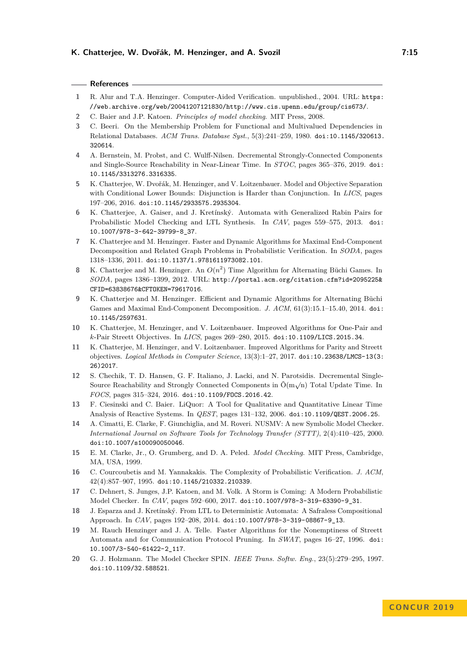#### **References**

- <span id="page-14-4"></span>**1** R. Alur and T.A. Henzinger. Computer-Aided Verification. unpublished., 2004. URL: [https:](https://web.archive.org/web/20041207121830/http://www.cis.upenn.edu/group/cis673/) [//web.archive.org/web/20041207121830/http://www.cis.upenn.edu/group/cis673/](https://web.archive.org/web/20041207121830/http://www.cis.upenn.edu/group/cis673/).
- <span id="page-14-1"></span>**2** C. Baier and J.P. Katoen. *Principles of model checking*. MIT Press, 2008.
- <span id="page-14-18"></span>**3** C. Beeri. On the Membership Problem for Functional and Multivalued Dependencies in Relational Databases. *ACM Trans. Database Syst.*, 5(3):241–259, 1980. [doi:10.1145/320613.](http://dx.doi.org/10.1145/320613.320614) [320614](http://dx.doi.org/10.1145/320613.320614).
- <span id="page-14-16"></span>**4** A. Bernstein, M. Probst, and C. Wulff-Nilsen. Decremental Strongly-Connected Components and Single-Source Reachability in Near-Linear Time. In *STOC*, pages 365–376, 2019. [doi:](http://dx.doi.org/10.1145/3313276.3316335) [10.1145/3313276.3316335](http://dx.doi.org/10.1145/3313276.3316335).
- <span id="page-14-15"></span>**5** K. Chatterjee, W. Dvořák, M. Henzinger, and V. Loitzenbauer. Model and Objective Separation with Conditional Lower Bounds: Disjunction is Harder than Conjunction. In *LICS*, pages 197–206, 2016. [doi:10.1145/2933575.2935304](http://dx.doi.org/10.1145/2933575.2935304).
- <span id="page-14-5"></span>**6** K. Chatterjee, A. Gaiser, and J. Kretínský. Automata with Generalized Rabin Pairs for Probabilistic Model Checking and LTL Synthesis. In *CAV*, pages 559–575, 2013. [doi:](http://dx.doi.org/10.1007/978-3-642-39799-8_37) [10.1007/978-3-642-39799-8\\_37](http://dx.doi.org/10.1007/978-3-642-39799-8_37).
- <span id="page-14-12"></span>**7** K. Chatterjee and M. Henzinger. Faster and Dynamic Algorithms for Maximal End-Component Decomposition and Related Graph Problems in Probabilistic Verification. In *SODA*, pages 1318–1336, 2011. [doi:10.1137/1.9781611973082.101](http://dx.doi.org/10.1137/1.9781611973082.101).
- <span id="page-14-13"></span>**8** K. Chatterjee and M. Henzinger. An *O*(*n* 2 ) Time Algorithm for Alternating Büchi Games. In *SODA*, pages 1386–1399, 2012. URL: [http://portal.acm.org/citation.cfm?id=2095225&](http://portal.acm.org/citation.cfm?id=2095225&CFID=63838676&CFTOKEN=79617016) [CFID=63838676&CFTOKEN=79617016](http://portal.acm.org/citation.cfm?id=2095225&CFID=63838676&CFTOKEN=79617016).
- <span id="page-14-14"></span>**9** K. Chatterjee and M. Henzinger. Efficient and Dynamic Algorithms for Alternating Büchi Games and Maximal End-Component Decomposition. *J. ACM*, 61(3):15.1–15.40, 2014. [doi:](http://dx.doi.org/10.1145/2597631) [10.1145/2597631](http://dx.doi.org/10.1145/2597631).
- <span id="page-14-11"></span>**10** K. Chatterjee, M. Henzinger, and V. Loitzenbauer. Improved Algorithms for One-Pair and *k*-Pair Streett Objectives. In *LICS*, pages 269–280, 2015. [doi:10.1109/LICS.2015.34](http://dx.doi.org/10.1109/LICS.2015.34).
- <span id="page-14-17"></span>**11** K. Chatterjee, M. Henzinger, and V. Loitzenbauer. Improved Algorithms for Parity and Streett objectives. *Logical Methods in Computer Science*, 13(3):1–27, 2017. [doi:10.23638/LMCS-13\(3:](http://dx.doi.org/10.23638/LMCS-13(3:26)2017) [26\)2017](http://dx.doi.org/10.23638/LMCS-13(3:26)2017).
- <span id="page-14-19"></span>**12** S. Chechik, T. D. Hansen, G. F. Italiano, J. Lacki, and N. Parotsidis. Decremental Single-Source Reachability and Strongly Connected Components in  $\tilde{O}(m\sqrt{n})$  Total Update Time. In *FOCS*, pages 315–324, 2016. [doi:10.1109/FOCS.2016.42](http://dx.doi.org/10.1109/FOCS.2016.42).
- <span id="page-14-9"></span>**13** F. Ciesinski and C. Baier. LiQuor: A Tool for Qualitative and Quantitative Linear Time Analysis of Reactive Systems. In *QEST*, pages 131–132, 2006. [doi:10.1109/QEST.2006.25](http://dx.doi.org/10.1109/QEST.2006.25).
- <span id="page-14-8"></span>**14** A. Cimatti, E. Clarke, F. Giunchiglia, and M. Roveri. NUSMV: A new Symbolic Model Checker. *International Journal on Software Tools for Technology Transfer (STTT)*, 2(4):410–425, 2000. [doi:10.1007/s100090050046](http://dx.doi.org/10.1007/s100090050046).
- <span id="page-14-0"></span>**15** E. M. Clarke, Jr., O. Grumberg, and D. A. Peled. *Model Checking*. MIT Press, Cambridge, MA, USA, 1999.
- <span id="page-14-2"></span>**16** C. Courcoubetis and M. Yannakakis. The Complexity of Probabilistic Verification. *J. ACM*, 42(4):857–907, 1995. [doi:10.1145/210332.210339](http://dx.doi.org/10.1145/210332.210339).
- <span id="page-14-3"></span>**17** C. Dehnert, S. Junges, J.P. Katoen, and M. Volk. A Storm is Coming: A Modern Probabilistic Model Checker. In *CAV*, pages 592–600, 2017. [doi:10.1007/978-3-319-63390-9\\_31](http://dx.doi.org/10.1007/978-3-319-63390-9_31).
- <span id="page-14-6"></span>**18** J. Esparza and J. Kretínský. From LTL to Deterministic Automata: A Safraless Compositional Approach. In *CAV*, pages 192–208, 2014. [doi:10.1007/978-3-319-08867-9\\_13](http://dx.doi.org/10.1007/978-3-319-08867-9_13).
- <span id="page-14-10"></span>**19** M. Rauch Henzinger and J. A. Telle. Faster Algorithms for the Nonemptiness of Streett Automata and for Communication Protocol Pruning. In *SWAT*, pages 16–27, 1996. [doi:](http://dx.doi.org/10.1007/3-540-61422-2_117) [10.1007/3-540-61422-2\\_117](http://dx.doi.org/10.1007/3-540-61422-2_117).
- <span id="page-14-7"></span>**20** G. J. Holzmann. The Model Checker SPIN. *IEEE Trans. Softw. Eng.*, 23(5):279–295, 1997. [doi:10.1109/32.588521](http://dx.doi.org/10.1109/32.588521).